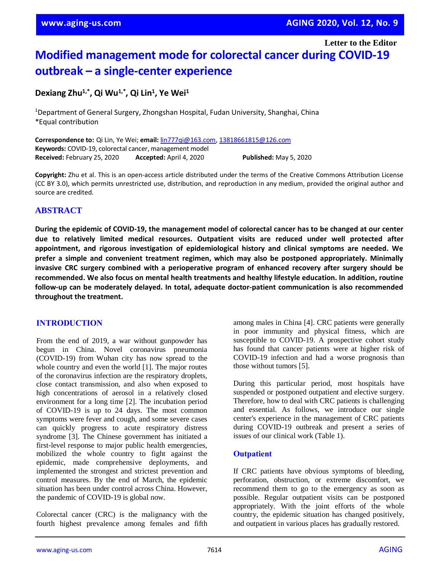**Letter to the Editor**

# **Modified management mode for colorectal cancer during COVID-19 outbreak – a single-center experience**

## **Dexiang Zhu1,\* , Qi Wu1,\* , Qi Lin<sup>1</sup> , Ye Wei<sup>1</sup>**

<sup>1</sup>Department of General Surgery, Zhongshan Hospital, Fudan University, Shanghai, China \*Equal contribution

**Correspondence to:** Qi Lin, Ye Wei; **email:** [lin777qi@163.com,](mailto:lin777qi@163.com) [13818661815@126.com](mailto:13818661815@126.com) **Keywords:** COVID-19, colorectal cancer, management model **Received:** February 25, 2020 **Accepted:** April 4, 2020 **Published:** May 5, 2020

**Copyright:** Zhu et al. This is an open-access article distributed under the terms of the Creative Commons Attribution License (CC BY 3.0), which permits unrestricted use, distribution, and reproduction in any medium, provided the original author and source are credited.

## **ABSTRACT**

During the epidemic of COVID-19, the management model of colorectal cancer has to be changed at our center **due to relatively limited medical resources. Outpatient visits are reduced under well protected after appointment, and rigorous investigation of epidemiological history and clinical symptoms are needed. We prefer a simple and convenient treatment regimen, which may also be postponed appropriately. Minimally invasive CRC surgery combined with a perioperative program of enhanced recovery after surgery should be recommended. We also focus on mental health treatments and healthy lifestyle education. In addition, routine follow-up can be moderately delayed. In total, adequate doctor-patient communication is also recommended throughout the treatment.**

#### **INTRODUCTION**

From the end of 2019, a war without gunpowder has begun in China. Novel coronavirus pneumonia (COVID-19) from Wuhan city has now spread to the whole country and even the world [1]. The major routes of the coronavirus infection are the respiratory droplets, close contact transmission, and also when exposed to high concentrations of aerosol in a relatively closed environment for a long time [2]. The incubation period of COVID-19 is up to 24 days. The most common symptoms were fever and cough, and some severe cases can quickly progress to acute respiratory distress syndrome [3]. The Chinese government has initiated a first-level response to major public health emergencies, mobilized the whole country to fight against the epidemic, made comprehensive deployments, and implemented the strongest and strictest prevention and control measures. By the end of March, the epidemic situation has been under control across China. However, the pandemic of COVID-19 is global now.

Colorectal cancer (CRC) is the malignancy with the fourth highest prevalence among females and fifth among males in China [4]. CRC patients were generally in poor immunity and physical fitness, which are susceptible to COVID-19. A prospective cohort study has found that cancer patients were at higher risk of COVID-19 infection and had a worse prognosis than those without tumors [5].

During this particular period, most hospitals have suspended or postponed outpatient and elective surgery. Therefore, how to deal with CRC patients is challenging and essential. As follows, we introduce our single center's experience in the management of CRC patients during COVID-19 outbreak and present a series of issues of our clinical work (Table 1).

#### **Outpatient**

If CRC patients have obvious symptoms of bleeding, perforation, obstruction, or extreme discomfort, we recommend them to go to the emergency as soon as possible. Regular outpatient visits can be postponed appropriately. With the joint efforts of the whole country, the epidemic situation has changed positively, and outpatient in various places has gradually restored.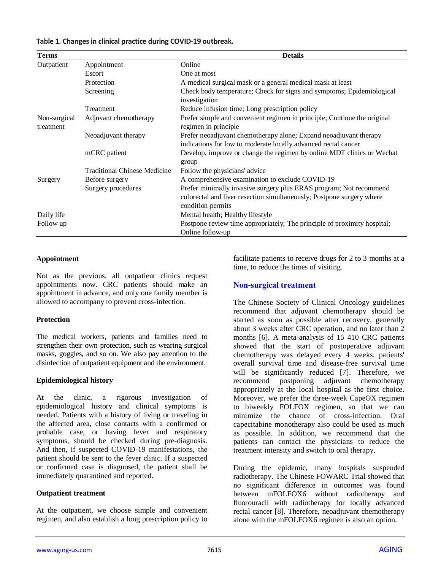#### **Table 1. Changesin clinical practice during COVID-19 outbreak.**

| <b>Terms</b>              |                                     | <b>Details</b>                                                                                                                                                   |
|---------------------------|-------------------------------------|------------------------------------------------------------------------------------------------------------------------------------------------------------------|
| Outpatient                | Appointment                         | Online                                                                                                                                                           |
|                           | Escort                              | One at most                                                                                                                                                      |
|                           | Protection                          | A medical surgical mask or a general medical mask at least                                                                                                       |
|                           | Screening                           | Check body temperature; Check for signs and symptoms; Epidemiological<br>investigation                                                                           |
|                           | Treatment                           | Reduce infusion time; Long prescription policy                                                                                                                   |
| Non-surgical<br>treatment | Adjuvant chemotherapy               | Prefer simple and convenient regimen in principle; Continue the original<br>regimen in principle                                                                 |
|                           | Neoadjuvant therapy                 | Prefer neoadjuvant chemotherapy alone; Expand neoadjuvant therapy<br>indications for low to moderate locally advanced rectal cancer                              |
|                           | mCRC patient                        | Develop, improve or change the regimen by online MDT clinics or Wechat<br>group                                                                                  |
|                           | <b>Traditional Chinese Medicine</b> | Follow the physicians' advice                                                                                                                                    |
| Surgery                   | Before surgery                      | A comprehensive examination to exclude COVID-19                                                                                                                  |
|                           | Surgery procedures                  | Prefer minimally invasive surgery plus ERAS program; Not recommend<br>colorectal and liver resection simultaneously; Postpone surgery where<br>condition permits |
| Daily life                |                                     | Mental health; Healthy lifestyle                                                                                                                                 |
| Follow up                 |                                     | Postpone review time appropriately; The principle of proximity hospital;<br>Online follow-up                                                                     |

#### **Appointment**

Not as the previous, all outpatient clinics request appointments now. CRC patients should make an appointment in [advance,](http://www.baidu.com/link?url=tpR07imbHfKT1wMdDTxIHR2YStv_vXpbiqOBAgAQ9uOx_h196-_kVY7ZsroJ_GrqGLqI7k5GhKDr0ybsZb2sYK) and only one family member is allowed to accompany to prevent cross-infection.

#### **Protection**

The medical workers, patients and families need to strengthen their own protection, such as wearing surgical masks, goggles, and so on. We also pay attention to the disinfection of outpatient equipment and the environment.

#### **Epidemiological history**

At the clinic, a rigorous investigation of epidemiological history and clinical symptoms is needed. Patients with a history of living or traveling in the affected area, close contacts with a confirmed or probable case, or having fever and respiratory symptoms, should be checked during pre-diagnosis. And then, if suspected COVID-19 manifestations, the patient should be sent to the fever clinic. If a suspected or confirmed case is diagnosed, the patient shall be immediately quarantined and reported.

#### **Outpatient treatment**

At the outpatient, we choose simple and convenient regimen, and also establish a long prescription policy to facilitate patients to receive drugs for 2 to 3 months at a time, to reduce the times of visiting.

## **Non-surgical treatment**

The Chinese Society of Clinical Oncology guidelines recommend that adjuvant chemotherapy should be started as soon as possible after recovery, generally about 3 weeks after CRC operation, and no later than 2 months [6]. A meta-analysis of 15 410 CRC patients showed that the start of postoperative adjuvant chemotherapy was delayed every 4 weeks, patients' overall survival time and disease-free survival time will be significantly reduced [7]. Therefore, we recommend postponing adjuvant chemotherapy appropriately at the local hospital as the first choice. Moreover, we prefer the three-week CapeOX regimen to biweekly FOLFOX regimen, so that we can minimize the chance of cross-infection. Oral capecitabine monotherapy also could be used as much as possible. In addition, we recommend that the patients can contact the physicians to reduce the treatment intensity and switch to oral therapy.

During the epidemic, many hospitals suspended radiotherapy. The Chinese FOWARC Trial showed that no significant difference in outcomes was found between mFOLFOX6 without radiotherapy and fluorouracil with radiotherapy for locally advanced rectal cancer [8]. Therefore, neoadjuvant chemotherapy alone with the mFOLFOX6 regimen is also an option.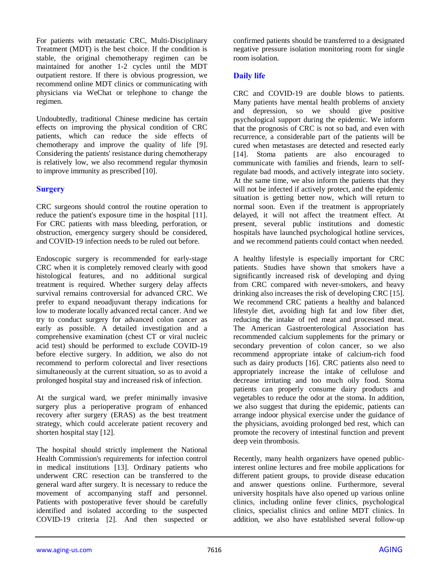For patients with metastatic CRC, Multi-Disciplinary Treatment (MDT) is the best choice. If the condition is stable, the original chemotherapy regimen can be maintained for another 1-2 cycles until the MDT outpatient restore. If there is obvious progression, we recommend online MDT clinics or communicating with physicians via WeChat or telephone to change the regimen.

Undoubtedly, traditional Chinese medicine has certain effects on improving the physical condition of CRC patients, which can reduce the side effects of chemotherapy and improve the quality of life [9]. Considering the patients' resistance during chemotherapy is relatively low, we also recommend regular thymosin to improve immunity as prescribed [10].

## **Surgery**

CRC surgeons should control the routine operation to reduce the patient's exposure time in the hospital [11]. For CRC patients with mass bleeding, perforation, or obstruction, emergency surgery should be considered, and COVID-19 infection needs to be ruled out before.

Endoscopic surgery is recommended for early-stage CRC when it is completely removed clearly with good histological features, and no additional surgical treatment is required. Whether surgery delay affects survival remains controversial for advanced CRC. We prefer to expand neoadjuvant therapy indications for low to moderate locally advanced rectal cancer. And we try to conduct surgery for advanced colon cancer as early as possible. A detailed investigation and a comprehensive examination (chest CT or viral nucleic acid test) should be performed to exclude COVID-19 before elective surgery. In addition, we also do not recommend to perform colorectal and liver resections simultaneously at the current situation, so as to avoid a prolonged hospital stay and increased risk of infection.

At the surgical ward, we prefer minimally invasive surgery plus a perioperative program of enhanced recovery after surgery (ERAS) as the best treatment strategy, which could accelerate patient recovery and shorten hospital stay [12].

The hospital should strictly implement the National Health Commission's requirements for infection control in medical institutions [13]. Ordinary patients who underwent CRC resection can be transferred to the general ward after surgery. It is necessary to reduce the movement of accompanying staff and personnel. Patients with postoperative fever should be carefully identified and isolated according to the suspected COVID-19 criteria [2]. And then suspected or

confirmed patients should be transferred to a designated negative pressure isolation monitoring room for single room isolation.

## **Daily life**

CRC and COVID-19 are double blows to patients. Many patients have mental health problems of anxiety and depression, so we should give positive psychological support during the epidemic. We inform that the prognosis of CRC is not so bad, and even with recurrence, a considerable part of the patients will be cured when metastases are detected and resected early [14]. Stoma patients are also encouraged to communicate with families and friends, learn to selfregulate bad moods, and actively integrate into society. At the same time, we also inform the patients that they will not be infected if actively protect, and the epidemic situation is getting better now, which will return to normal soon. Even if the treatment is appropriately delayed, it will not affect the treatment effect. At present, several public institutions and domestic hospitals have launched psychological hotline services, and we recommend patients could contact when needed.

A healthy lifestyle is especially important for CRC patients. Studies have shown that smokers have a significantly increased risk of developing and dying from CRC compared with never-smokers, and heavy drinking also increases the risk of developing CRC [15]. We recommend CRC patients a healthy and balanced lifestyle diet, avoiding high fat and low fiber diet, reducing the intake of red meat and processed meat. The American Gastroenterological Association has recommended calcium supplements for the primary or secondary prevention of colon cancer, so we also recommend appropriate intake of calcium-rich food such as dairy products [16]. CRC patients also need to appropriately increase the intake of cellulose and decrease irritating and too much oily food. Stoma patients can properly consume dairy products and vegetables to reduce the odor at the stoma. In addition, we also suggest that during the epidemic, patients can arrange indoor physical exercise under the guidance of the physicians, avoiding prolonged bed rest, which can promote the recovery of intestinal function and prevent deep vein thrombosis.

Recently, many health organizers have opened publicinterest online lectures and free mobile applications for different patient groups, to provide disease education and answer questions online. Furthermore, several university hospitals have also opened up various online clinics, including online fever clinics, psychological clinics, specialist clinics and online MDT clinics. In addition, we also have established several follow-up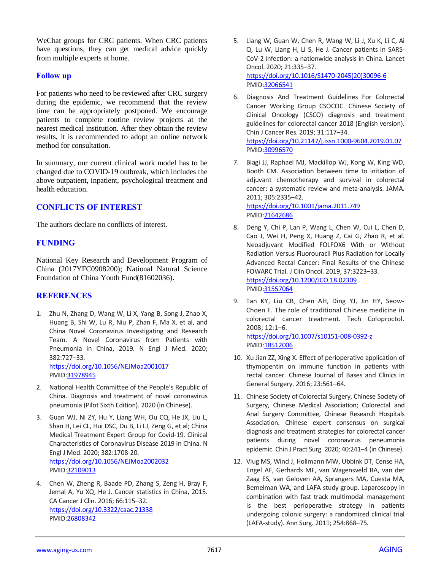WeChat groups for CRC patients. When CRC patients have questions, they can get medical advice quickly from multiple experts at home.

### **Follow up**

For patients who need to be reviewed after CRC surgery during the epidemic, we recommend that the review time can be appropriately postponed. We encourage patients to complete routine review projects at the nearest medical institution. After they obtain the review results, it is recommended to adopt an online network method for consultation.

In summary, our current clinical work model has to be changed due to COVID-19 outbreak, which includes the above outpatient, inpatient, psychological treatment and health education.

## **CONFLICTS OF INTEREST**

The authors declare no conflicts of interest.

## **FUNDING**

National Key Research and Development Program of China (2017YFC0908200); National Natural Science Foundation of China Youth Fund(81602036).

## **REFERENCES**

- 1. Zhu N, Zhang D, Wang W, Li X, Yang B, Song J, Zhao X, Huang B, Shi W, Lu R, Niu P, Zhan F, Ma X, et al, and China Novel Coronavirus Investigating and Research Team. A Novel Coronavirus from Patients with Pneumonia in China, 2019. N Engl J Med. 2020; 382:727–33. <https://doi.org/10.1056/NEJMoa2001017> PMID[:31978945](https://www.ncbi.nlm.nih.gov/pubmed/31978945)
- 2. National Health Committee of the People's Republic of China. Diagnosis and treatment of novel coronavirus pneumonia (Pilot Sixth Edition). 2020 (in Chinese).
- 3. Guan WJ, Ni ZY, Hu Y, Liang WH, Ou CQ, He JX, Liu L, Shan H, Lei CL, Hui DSC, Du B, Li LJ, Zeng G, et al; China Medical Treatment Expert Group for Covid-19. Clinical Characteristics of Coronavirus Disease 2019 in China. N Engl J Med. 2020; 382:1708-20. <https://doi.org/10.1056/NEJMoa2002032> PMID[:32109013](https://www.ncbi.nlm.nih.gov/pubmed/32109013)
- 4. Chen W, Zheng R, Baade PD, Zhang S, Zeng H, Bray F, Jemal A, Yu XQ, He J. Cancer statistics in China, 2015. CA Cancer J Clin. 2016; 66:115–32. <https://doi.org/10.3322/caac.21338> PMID[:26808342](https://www.ncbi.nlm.nih.gov/pubmed/26808342)
- 5. Liang W, Guan W, Chen R, Wang W, Li J, Xu K, Li C, Ai Q, Lu W, Liang H, Li S, He J. Cancer patients in SARS-CoV-2 infection: a nationwide analysis in China. Lancet Oncol. 2020; 21:335–37. [https://doi.org/10.1016/S1470-2045\(20\)30096-6](https://doi.org/10.1016/S1470-2045(20)30096-6) PMI[D:32066541](https://www.ncbi.nlm.nih.gov/pubmed/32066541)
- 6. Diagnosis And Treatment Guidelines For Colorectal Cancer Working Group CSOCOC. Chinese Society of Clinical Oncology (CSCO) diagnosis and treatment guidelines for colorectal cancer 2018 (English version). Chin J Cancer Res. 2019; 31:117–34. <https://doi.org/10.21147/j.issn.1000-9604.2019.01.07> PMI[D:30996570](https://www.ncbi.nlm.nih.gov/pubmed/30996570)
- 7. Biagi JJ, Raphael MJ, Mackillop WJ, Kong W, King WD, Booth CM. Association between time to initiation of adjuvant chemotherapy and survival in colorectal cancer: a systematic review and meta-analysis. JAMA. 2011; 305:2335–42. <https://doi.org/10.1001/jama.2011.749>

PMI[D:21642686](https://www.ncbi.nlm.nih.gov/pubmed/21642686)

- 8. Deng Y, Chi P, Lan P, Wang L, Chen W, Cui L, Chen D, Cao J, Wei H, Peng X, Huang Z, Cai G, Zhao R, et al. Neoadjuvant Modified FOLFOX6 With or Without Radiation Versus Fluorouracil Plus Radiation for Locally Advanced Rectal Cancer: Final Results of the Chinese FOWARC Trial. J Clin Oncol. 2019; 37:3223–33. <https://doi.org/10.1200/JCO.18.02309> PMI[D:31557064](https://www.ncbi.nlm.nih.gov/pubmed/31557064)
- 9. Tan KY, Liu CB, Chen AH, Ding YJ, Jin HY, Seow-Choen F. The role of traditional Chinese medicine in colorectal cancer treatment. Tech Coloproctol. 2008; 12:1–6.

<https://doi.org/10.1007/s10151-008-0392-z> PMI[D:18512006](https://www.ncbi.nlm.nih.gov/pubmed/18512006)

- 10. Xu Jian ZZ, Xing X. Effect of perioperative application of thymopentin on immune function in patients with rectal cancer. Chinese Journal of Bases and Clinics in General Surgery. 2016; 23:561–64.
- 11. Chinese Society of Colorectal Surgery, Chinese Society of Surgery, Chinese Medical Association; Colorectal and Anal Surgery Committee, Chinese Research Hospitals Association. Chinese expert consensus on surgical diagnosis and treatment strategies for colorectal cancer patients during novel coronavirus peneumonia epidemic. Chin J Pract Surg. 2020; 40:241–4 (in Chinese).
- 12. Vlug MS, Wind J, Hollmann MW, Ubbink DT, Cense HA, Engel AF, Gerhards MF, van Wagensveld BA, van der Zaag ES, van Geloven AA, Sprangers MA, Cuesta MA, Bemelman WA, and LAFA study group. Laparoscopy in combination with fast track multimodal management is the best perioperative strategy in patients undergoing colonic surgery: a randomized clinical trial (LAFA-study). Ann Surg. 2011; 254:868–75.